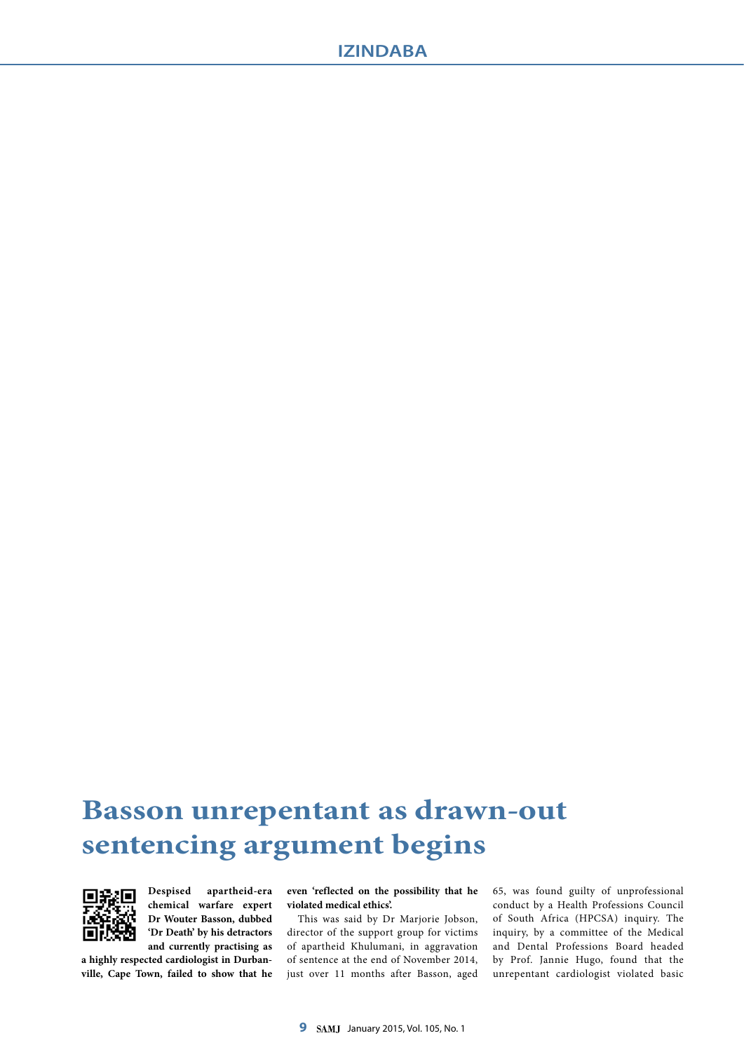# **Basson unrepentant as drawn-out sentencing argument begins**



**Despised apartheid-era chemical warfare expert Dr Wouter Basson, dubbed 'Dr Death' by his detractors and currently practising as** 

**a highly respected cardiologist in Durbanville, Cape Town, failed to show that he**  **even 'reflected on the possibility that he violated medical ethics'.**

This was said by Dr Marjorie Jobson, director of the support group for victims of apartheid Khulumani, in aggravation of sentence at the end of November 2014, just over 11 months after Basson, aged 65, was found guilty of unprofessional conduct by a Health Professions Council of South Africa (HPCSA) inquiry. The inquiry, by a committee of the Medical and Dental Professions Board headed by Prof. Jannie Hugo, found that the unrepentant cardiologist violated basic